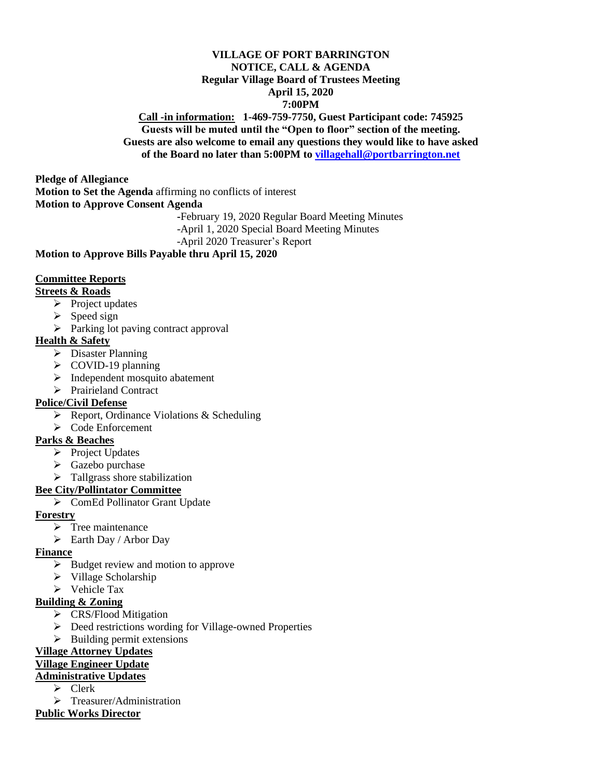# **VILLAGE OF PORT BARRINGTON NOTICE, CALL & AGENDA Regular Village Board of Trustees Meeting April 15, 2020 7:00PM**

#### **Call -in information: 1-469-759-7750, Guest Participant code: 745925 Guests will be muted until the "Open to floor" section of the meeting. Guests are also welcome to email any questions they would like to have asked of the Board no later than 5:00PM to [villagehall@portbarrington.net](mailto:villagehall@portbarrington.net)**

**Pledge of Allegiance Motion to Set the Agenda** affirming no conflicts of interest **Motion to Approve Consent Agenda -**February 19, 2020 Regular Board Meeting Minutes

-April 1, 2020 Special Board Meeting Minutes

-April 2020 Treasurer's Report

#### **Motion to Approve Bills Payable thru April 15, 2020**

#### **Committee Reports**

#### **Streets & Roads**

- ➢ Project updates
- ➢ Speed sign
- ➢ Parking lot paving contract approval

#### **Health & Safety**

- $\overline{\triangleright}$  Disaster Planning
- ➢ COVID-19 planning
- ➢ Independent mosquito abatement
- ➢ Prairieland Contract

# **Police/Civil Defense**

- ➢ Report, Ordinance Violations & Scheduling
- ➢ Code Enforcement

# **Parks & Beaches**

- ➢ Project Updates
- ➢ Gazebo purchase
- ➢ Tallgrass shore stabilization

# **Bee City/Pollintator Committee**

➢ ComEd Pollinator Grant Update

**Forestry**

- $\triangleright$  Tree maintenance
- ➢ Earth Day / Arbor Day

# **Finance**

- ➢ Budget review and motion to approve
- ➢ Village Scholarship
- ➢ Vehicle Tax

# **Building & Zoning**

- ➢ CRS/Flood Mitigation
- ➢ Deed restrictions wording for Village-owned Properties
- $\triangleright$  Building permit extensions

# **Village Attorney Updates**

# **Village Engineer Update**

# **Administrative Updates**

- ➢ Clerk
- ➢ Treasurer/Administration
- **Public Works Director**